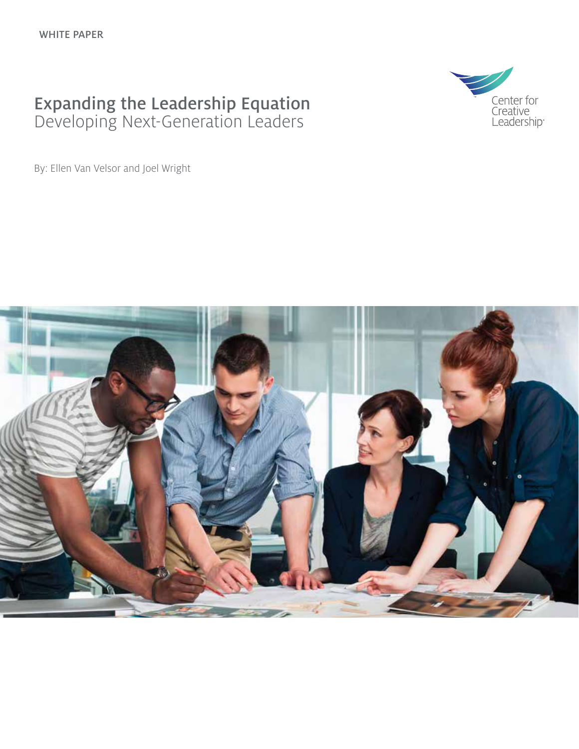### Expanding the Leadership Equation Developing Next-Generation Leaders



By: Ellen Van Velsor and Joel Wright

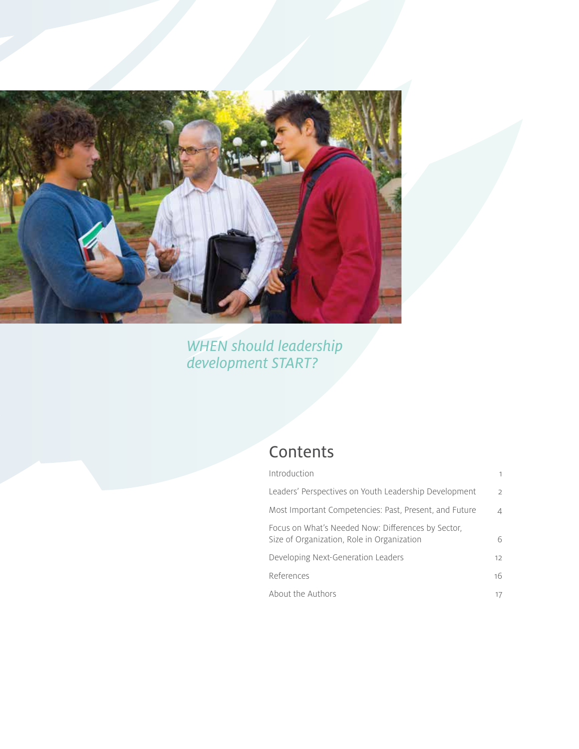

#### *WHEN should leadership development START?*

### Contents

| Introduction                                                                                     |                |
|--------------------------------------------------------------------------------------------------|----------------|
| Leaders' Perspectives on Youth Leadership Development                                            | $\overline{2}$ |
| Most Important Competencies: Past, Present, and Future                                           | $\Delta$       |
| Focus on What's Needed Now: Differences by Sector,<br>Size of Organization, Role in Organization | 6              |
| Developing Next-Generation Leaders                                                               | 12             |
| References                                                                                       | 16             |
| About the Authors                                                                                |                |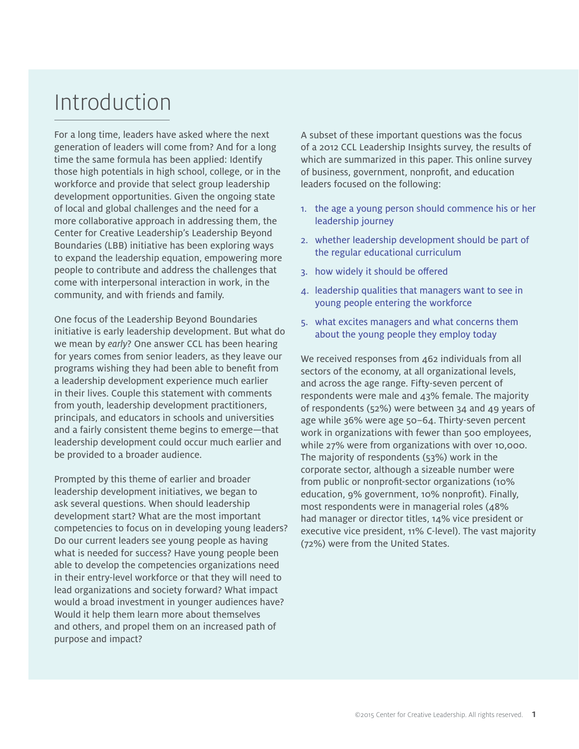### Introduction

For a long time, leaders have asked where the next generation of leaders will come from? And for a long time the same formula has been applied: Identify those high potentials in high school, college, or in the workforce and provide that select group leadership development opportunities. Given the ongoing state of local and global challenges and the need for a more collaborative approach in addressing them, the Center for Creative Leadership's Leadership Beyond Boundaries (LBB) initiative has been exploring ways to expand the leadership equation, empowering more people to contribute and address the challenges that come with interpersonal interaction in work, in the community, and with friends and family.

One focus of the Leadership Beyond Boundaries initiative is early leadership development. But what do we mean by *early*? One answer CCL has been hearing for years comes from senior leaders, as they leave our programs wishing they had been able to benefit from a leadership development experience much earlier in their lives. Couple this statement with comments from youth, leadership development practitioners, principals, and educators in schools and universities and a fairly consistent theme begins to emerge—that leadership development could occur much earlier and be provided to a broader audience.

Prompted by this theme of earlier and broader leadership development initiatives, we began to ask several questions. When should leadership development start? What are the most important competencies to focus on in developing young leaders? Do our current leaders see young people as having what is needed for success? Have young people been able to develop the competencies organizations need in their entry-level workforce or that they will need to lead organizations and society forward? What impact would a broad investment in younger audiences have? Would it help them learn more about themselves and others, and propel them on an increased path of purpose and impact?

A subset of these important questions was the focus of a 2012 CCL Leadership Insights survey, the results of which are summarized in this paper. This online survey of business, government, nonprofit, and education leaders focused on the following:

- 1. the age a young person should commence his or her leadership journey
- 2. whether leadership development should be part of the regular educational curriculum
- 3. how widely it should be offered
- 4. leadership qualities that managers want to see in young people entering the workforce
- 5. what excites managers and what concerns them about the young people they employ today

We received responses from 462 individuals from all sectors of the economy, at all organizational levels, and across the age range. Fifty-seven percent of respondents were male and 43% female. The majority of respondents (52%) were between 34 and 49 years of age while 36% were age 50–64. Thirty-seven percent work in organizations with fewer than 500 employees, while 27% were from organizations with over 10,000. The majority of respondents (53%) work in the corporate sector, although a sizeable number were from public or nonprofit-sector organizations (10% education, 9% government, 10% nonprofit). Finally, most respondents were in managerial roles (48% had manager or director titles, 14% vice president or executive vice president, 11% C-level). The vast majority (72%) were from the United States.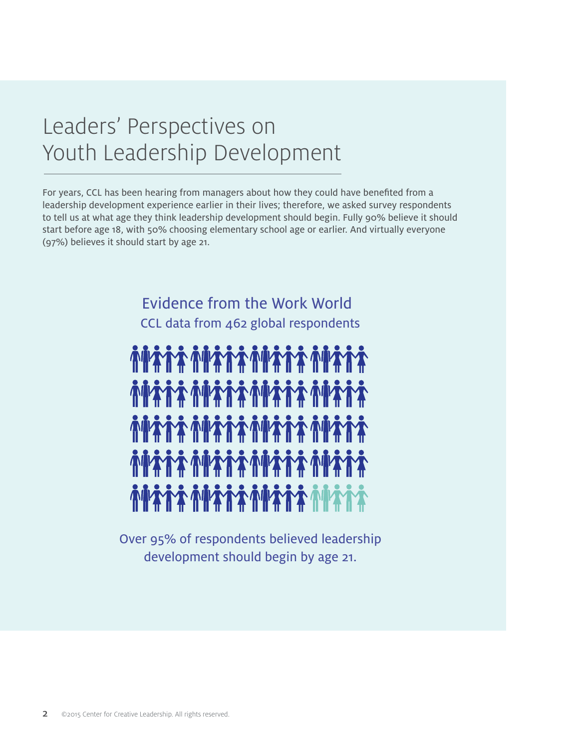### Leaders' Perspectives on Youth Leadership Development

For years, CCL has been hearing from managers about how they could have benefited from a leadership development experience earlier in their lives; therefore, we asked survey respondents to tell us at what age they think leadership development should begin. Fully 90% believe it should start before age 18, with 50% choosing elementary school age or earlier. And virtually everyone (97%) believes it should start by age 21.

> Evidence from the Work World CCL data from 462 global respondents

# ስቡኔስኔ ስቡኔስኔ ስቡኔስኔ ስቡኔስኔ *MATA MATA MATA MATA* <u>ስቡኔስኔ ስቡኔስኔ ስቡኔስኔ ስቡኔስኔ</u> *ስቡኔስኔ ስቡኔስኔ ስቡኔስኔ ስቡኔስኔ* **ስቡኔስኔ ስቡኔስኔ ስቡኔስኔ ስቡኔ**ስኔ

Over 95% of respondents believed leadership development should begin by age 21.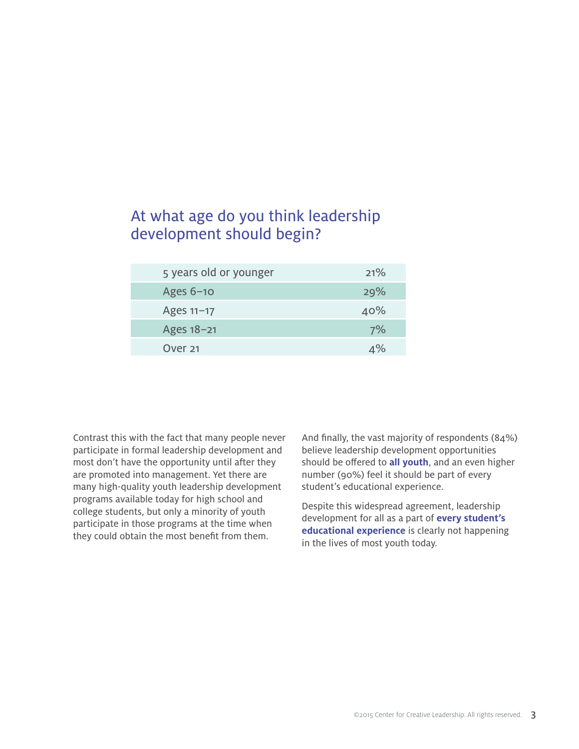#### At what age do you think leadership development should begin?

| 5 years old or younger | 21%   |
|------------------------|-------|
| Ages $6-10$            | 29%   |
| Ages 11-17             | 40%   |
| Ages 18-21             | $7\%$ |
| Over <sub>21</sub>     |       |

Contrast this with the fact that many people never participate in formal leadership development and most don't have the opportunity until after they are promoted into management. Yet there are many high-quality youth leadership development programs available today for high school and college students, but only a minority of youth participate in those programs at the time when they could obtain the most benefit from them.

And finally, the vast majority of respondents (84%) believe leadership development opportunities should be offered to **all youth**, and an even higher number (90%) feel it should be part of every student's educational experience.

Despite this widespread agreement, leadership development for all as a part of **every student's educational experience** is clearly not happening in the lives of most youth today.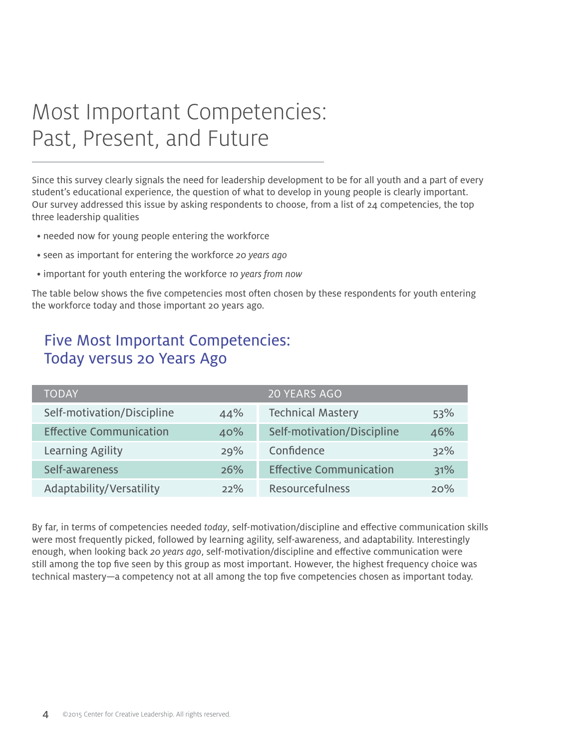## Most Important Competencies: Past, Present, and Future

Since this survey clearly signals the need for leadership development to be for all youth and a part of every student's educational experience, the question of what to develop in young people is clearly important. Our survey addressed this issue by asking respondents to choose, from a list of 24 competencies, the top three leadership qualities

- needed now for young people entering the workforce
- seen as important for entering the workforce *20 years ago*
- important for youth entering the workforce *10 years from now*

The table below shows the five competencies most often chosen by these respondents for youth entering the workforce today and those important 20 years ago.

#### Five Most Important Competencies: Today versus 20 Years Ago

| <b>TODAY</b>                   |            | 20 YEARS AGO                   |     |
|--------------------------------|------------|--------------------------------|-----|
| Self-motivation/Discipline     | 44%        | <b>Technical Mastery</b>       | 53% |
| <b>Effective Communication</b> | 40%        | Self-motivation/Discipline     | 46% |
| Learning Agility               | 29%        | Confidence                     | 32% |
| Self-awareness                 | <b>26%</b> | <b>Effective Communication</b> | 31% |
| Adaptability/Versatility       | 22%        | <b>Resourcefulness</b>         | 20% |

By far, in terms of competencies needed *today*, self-motivation/discipline and effective communication skills were most frequently picked, followed by learning agility, self-awareness, and adaptability. Interestingly enough, when looking back *20 years ago*, self-motivation/discipline and effective communication were still among the top five seen by this group as most important. However, the highest frequency choice was technical mastery—a competency not at all among the top five competencies chosen as important today.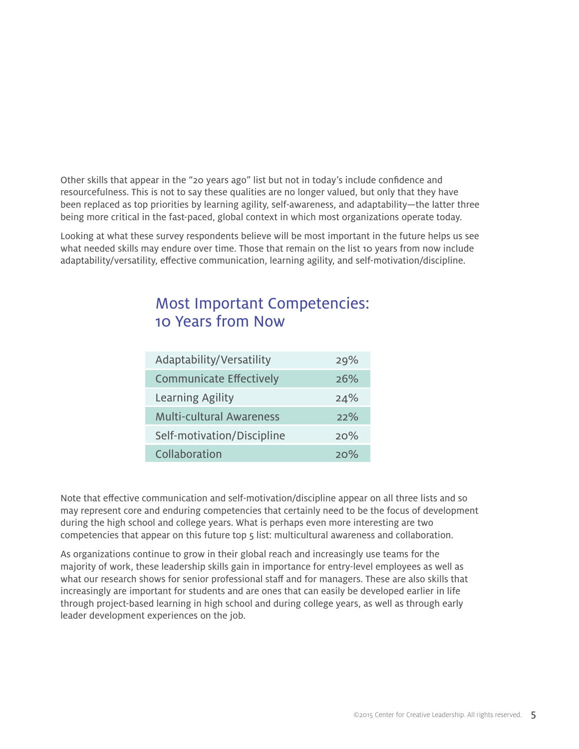Other skills that appear in the "20 years ago" list but not in today's include confidence and resourcefulness. This is not to say these qualities are no longer valued, but only that they have been replaced as top priorities by learning agility, self-awareness, and adaptability—the latter three being more critical in the fast-paced, global context in which most organizations operate today.

Looking at what these survey respondents believe will be most important in the future helps us see what needed skills may endure over time. Those that remain on the list 10 years from now include adaptability/versatility, effective communication, learning agility, and self-motivation/discipline.

#### Most Important Competencies: 10 Years from Now

| Adaptability/Versatility        | 29% |
|---------------------------------|-----|
| <b>Communicate Effectively</b>  | 26% |
| Learning Agility                | 24% |
| <b>Multi-cultural Awareness</b> | 22% |
| Self-motivation/Discipline      | 20% |
| Collaboration                   | 20% |

Note that effective communication and self-motivation/discipline appear on all three lists and so may represent core and enduring competencies that certainly need to be the focus of development during the high school and college years. What is perhaps even more interesting are two competencies that appear on this future top 5 list: multicultural awareness and collaboration.

As organizations continue to grow in their global reach and increasingly use teams for the majority of work, these leadership skills gain in importance for entry-level employees as well as what our research shows for senior professional staff and for managers. These are also skills that increasingly are important for students and are ones that can easily be developed earlier in life through project-based learning in high school and during college years, as well as through early leader development experiences on the job.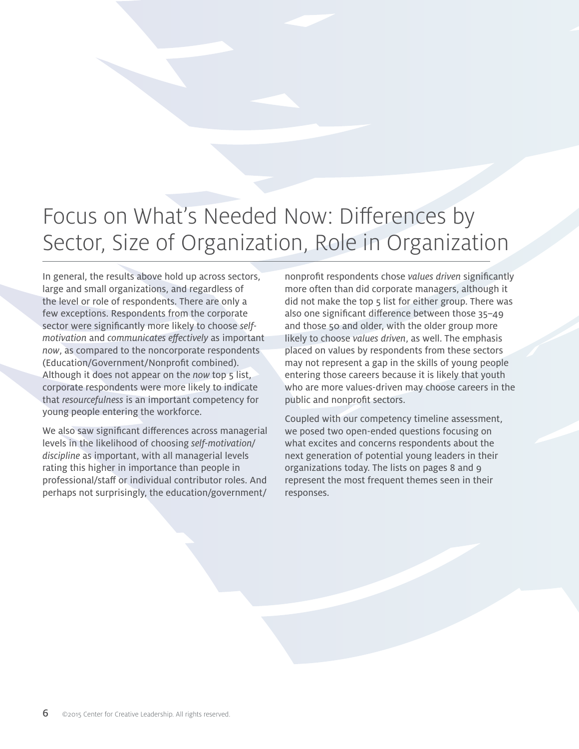## Focus on What's Needed Now: Differences by Sector, Size of Organization, Role in Organization

In general, the results above hold up across sectors, large and small organizations, and regardless of the level or role of respondents. There are only a few exceptions. Respondents from the corporate sector were significantly more likely to choose *selfmotivation* and *communicates effectively* as important *now*, as compared to the noncorporate respondents (Education/Government/Nonprofit combined). Although it does not appear on the *now* top 5 list, corporate respondents were more likely to indicate that *resourcefulness* is an important competency for young people entering the workforce.

We also saw significant differences across managerial levels in the likelihood of choosing *self-motivation/ discipline* as important, with all managerial levels rating this higher in importance than people in professional/staff or individual contributor roles. And perhaps not surprisingly, the education/government/

nonprofit respondents chose *values driven* significantly more often than did corporate managers, although it did not make the top 5 list for either group. There was also one significant difference between those 35–49 and those 50 and older, with the older group more likely to choose *values driven*, as well. The emphasis placed on values by respondents from these sectors may not represent a gap in the skills of young people entering those careers because it is likely that youth who are more values-driven may choose careers in the public and nonprofit sectors.

Coupled with our competency timeline assessment, we posed two open-ended questions focusing on what excites and concerns respondents about the next generation of potential young leaders in their organizations today. The lists on pages 8 and 9 represent the most frequent themes seen in their responses.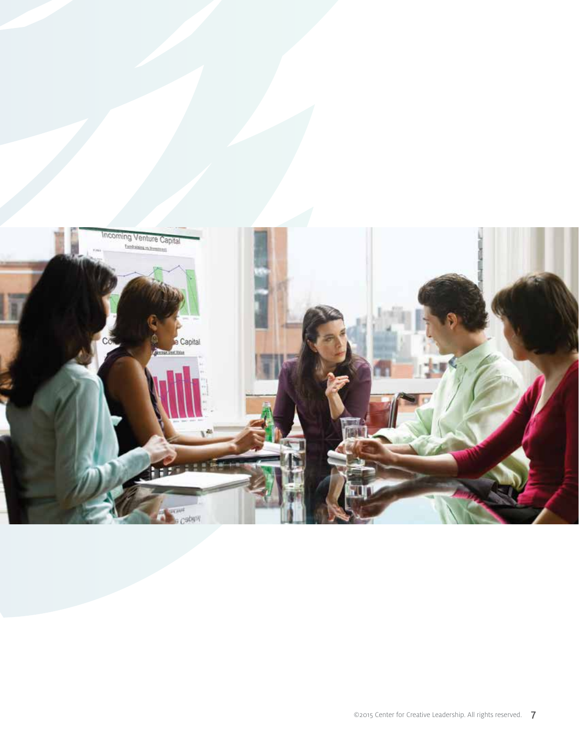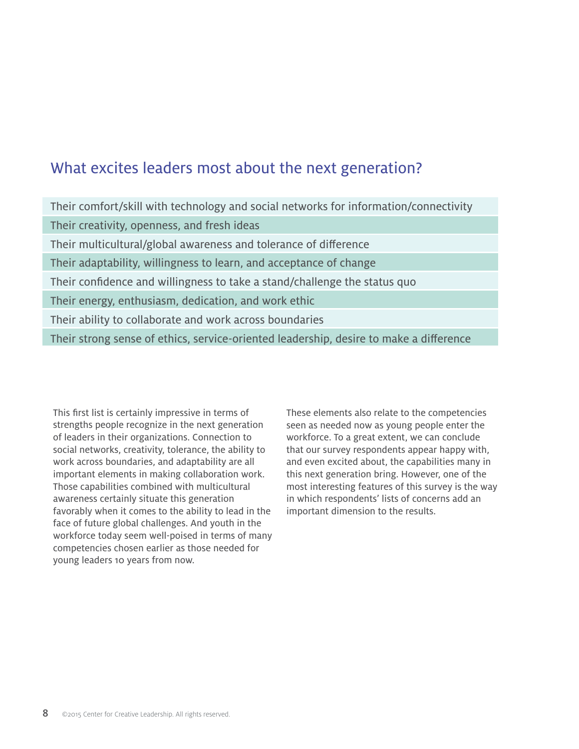#### What excites leaders most about the next generation?

Their comfort/skill with technology and social networks for information/connectivity Their creativity, openness, and fresh ideas Their multicultural/global awareness and tolerance of difference Their adaptability, willingness to learn, and acceptance of change Their confidence and willingness to take a stand/challenge the status quo Their energy, enthusiasm, dedication, and work ethic Their ability to collaborate and work across boundaries Their strong sense of ethics, service-oriented leadership, desire to make a difference

This first list is certainly impressive in terms of strengths people recognize in the next generation of leaders in their organizations. Connection to social networks, creativity, tolerance, the ability to work across boundaries, and adaptability are all important elements in making collaboration work. Those capabilities combined with multicultural awareness certainly situate this generation favorably when it comes to the ability to lead in the face of future global challenges. And youth in the workforce today seem well-poised in terms of many competencies chosen earlier as those needed for young leaders 10 years from now.

These elements also relate to the competencies seen as needed now as young people enter the workforce. To a great extent, we can conclude that our survey respondents appear happy with, and even excited about, the capabilities many in this next generation bring. However, one of the most interesting features of this survey is the way in which respondents' lists of concerns add an important dimension to the results.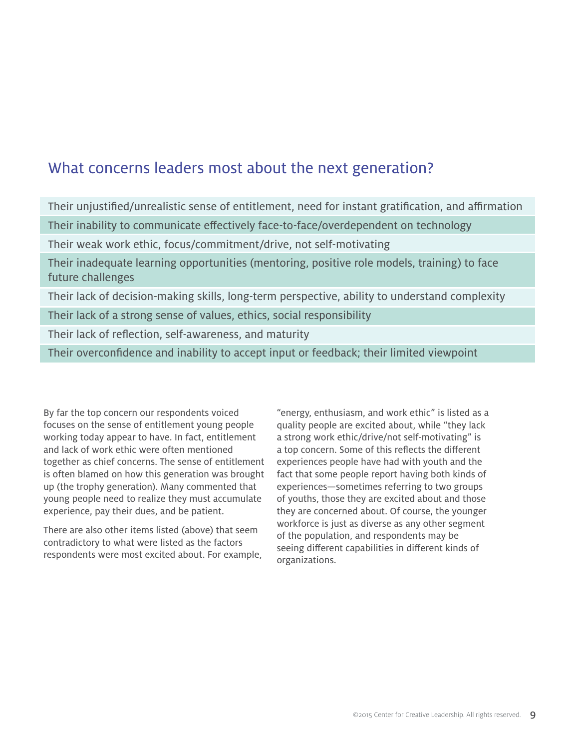#### What concerns leaders most about the next generation?

Their unjustified/unrealistic sense of entitlement, need for instant gratification, and affirmation Their inability to communicate effectively face-to-face/overdependent on technology Their weak work ethic, focus/commitment/drive, not self-motivating Their inadequate learning opportunities (mentoring, positive role models, training) to face future challenges Their lack of decision-making skills, long-term perspective, ability to understand complexity Their lack of a strong sense of values, ethics, social responsibility Their lack of reflection, self-awareness, and maturity Their overconfidence and inability to accept input or feedback; their limited viewpoint

By far the top concern our respondents voiced focuses on the sense of entitlement young people working today appear to have. In fact, entitlement and lack of work ethic were often mentioned together as chief concerns. The sense of entitlement is often blamed on how this generation was brought up (the trophy generation). Many commented that young people need to realize they must accumulate experience, pay their dues, and be patient.

There are also other items listed (above) that seem contradictory to what were listed as the factors respondents were most excited about. For example,

"energy, enthusiasm, and work ethic" is listed as a quality people are excited about, while "they lack a strong work ethic/drive/not self-motivating" is a top concern. Some of this reflects the different experiences people have had with youth and the fact that some people report having both kinds of experiences—sometimes referring to two groups of youths, those they are excited about and those they are concerned about. Of course, the younger workforce is just as diverse as any other segment of the population, and respondents may be seeing different capabilities in different kinds of organizations.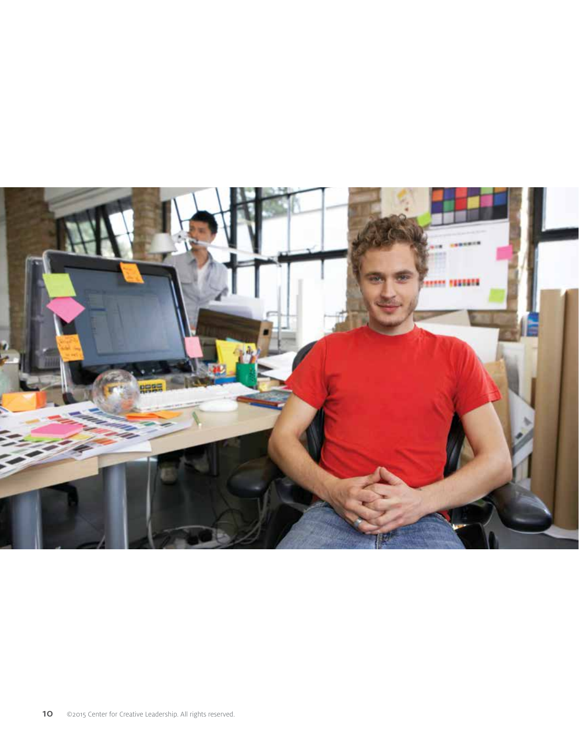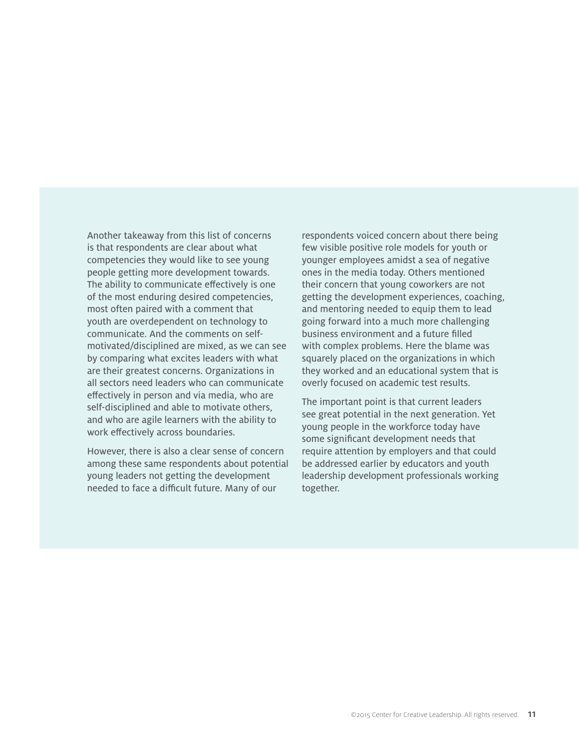Another takeaway from this list of concerns is that respondents are clear about what competencies they would like to see young people getting more development towards. The ability to communicate effectively is one of the most enduring desired competencies, most often paired with a comment that youth are overdependent on technology to communicate. And the comments on selfmotivated/disciplined are mixed, as we can see by comparing what excites leaders with what are their greatest concerns. Organizations in all sectors need leaders who can communicate effectively in person and via media, who are self-disciplined and able to motivate others, and who are agile learners with the ability to work effectively across boundaries.

However, there is also a clear sense of concern among these same respondents about potential young leaders not getting the development needed to face a difficult future. Many of our

respondents voiced concern about there being few visible positive role models for youth or younger employees amidst a sea of negative ones in the media today. Others mentioned their concern that young coworkers are not getting the development experiences, coaching, and mentoring needed to equip them to lead going forward into a much more challenging business environment and a future filled with complex problems. Here the blame was squarely placed on the organizations in which they worked and an educational system that is overly focused on academic test results.

The important point is that current leaders see great potential in the next generation. Yet young people in the workforce today have some significant development needs that require attention by employers and that could be addressed earlier by educators and youth leadership development professionals working together.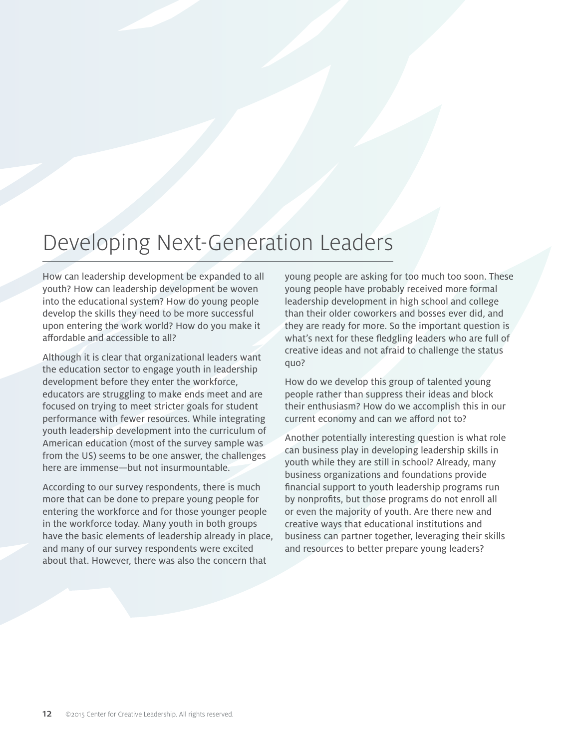### Developing Next-Generation Leaders

How can leadership development be expanded to all youth? How can leadership development be woven into the educational system? How do young people develop the skills they need to be more successful upon entering the work world? How do you make it affordable and accessible to all?

Although it is clear that organizational leaders want the education sector to engage youth in leadership development before they enter the workforce, educators are struggling to make ends meet and are focused on trying to meet stricter goals for student performance with fewer resources. While integrating youth leadership development into the curriculum of American education (most of the survey sample was from the US) seems to be one answer, the challenges here are immense—but not insurmountable.

According to our survey respondents, there is much more that can be done to prepare young people for entering the workforce and for those younger people in the workforce today. Many youth in both groups have the basic elements of leadership already in place, and many of our survey respondents were excited about that. However, there was also the concern that

young people are asking for too much too soon. These young people have probably received more formal leadership development in high school and college than their older coworkers and bosses ever did, and they are ready for more. So the important question is what's next for these fledgling leaders who are full of creative ideas and not afraid to challenge the status quo?

How do we develop this group of talented young people rather than suppress their ideas and block their enthusiasm? How do we accomplish this in our current economy and can we afford not to?

Another potentially interesting question is what role can business play in developing leadership skills in youth while they are still in school? Already, many business organizations and foundations provide financial support to youth leadership programs run by nonprofits, but those programs do not enroll all or even the majority of youth. Are there new and creative ways that educational institutions and business can partner together, leveraging their skills and resources to better prepare young leaders?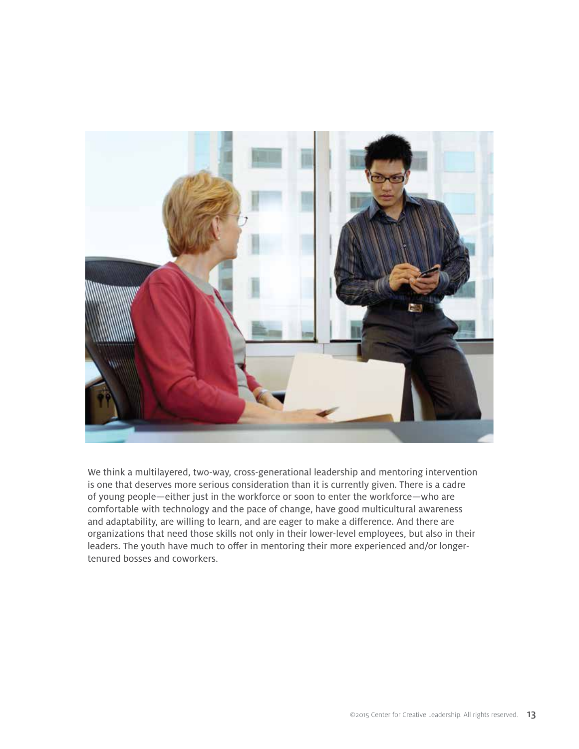

We think a multilayered, two-way, cross-generational leadership and mentoring intervention is one that deserves more serious consideration than it is currently given. There is a cadre of young people—either just in the workforce or soon to enter the workforce—who are comfortable with technology and the pace of change, have good multicultural awareness and adaptability, are willing to learn, and are eager to make a difference. And there are organizations that need those skills not only in their lower-level employees, but also in their leaders. The youth have much to offer in mentoring their more experienced and/or longertenured bosses and coworkers.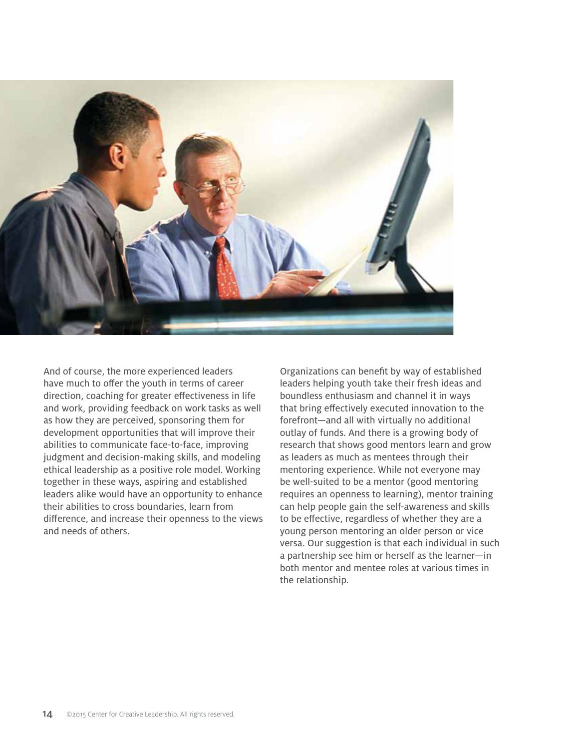

And of course, the more experienced leaders have much to offer the youth in terms of career direction, coaching for greater effectiveness in life and work, providing feedback on work tasks as well as how they are perceived, sponsoring them for development opportunities that will improve their abilities to communicate face-to-face, improving judgment and decision-making skills, and modeling ethical leadership as a positive role model. Working together in these ways, aspiring and established leaders alike would have an opportunity to enhance their abilities to cross boundaries, learn from difference, and increase their openness to the views and needs of others.

Organizations can benefit by way of established leaders helping youth take their fresh ideas and boundless enthusiasm and channel it in ways that bring effectively executed innovation to the forefront—and all with virtually no additional outlay of funds. And there is a growing body of research that shows good mentors learn and grow as leaders as much as mentees through their mentoring experience. While not everyone may be well-suited to be a mentor (good mentoring requires an openness to learning), mentor training can help people gain the self-awareness and skills to be effective, regardless of whether they are a young person mentoring an older person or vice versa. Our suggestion is that each individual in such a partnership see him or herself as the learner—in both mentor and mentee roles at various times in the relationship.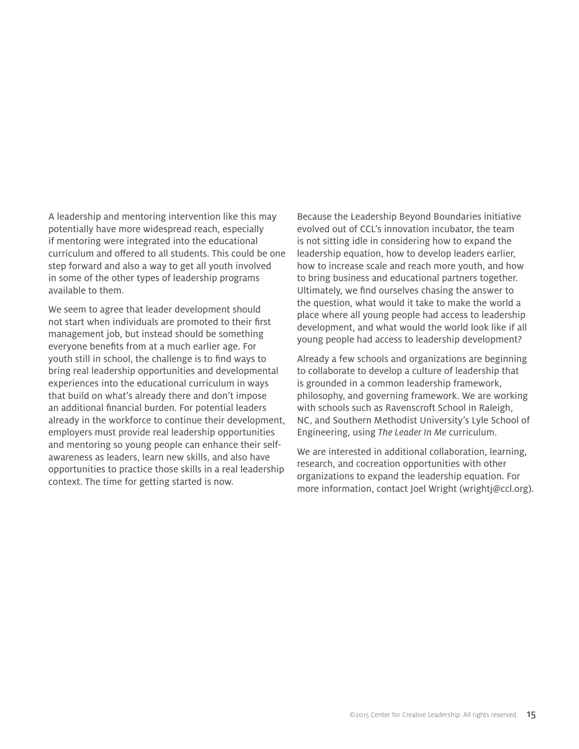A leadership and mentoring intervention like this may potentially have more widespread reach, especially if mentoring were integrated into the educational curriculum and offered to all students. This could be one step forward and also a way to get all youth involved in some of the other types of leadership programs available to them.

We seem to agree that leader development should not start when individuals are promoted to their first management job, but instead should be something everyone benefits from at a much earlier age. For youth still in school, the challenge is to find ways to bring real leadership opportunities and developmental experiences into the educational curriculum in ways that build on what's already there and don't impose an additional financial burden. For potential leaders already in the workforce to continue their development, employers must provide real leadership opportunities and mentoring so young people can enhance their selfawareness as leaders, learn new skills, and also have opportunities to practice those skills in a real leadership context. The time for getting started is now.

Because the Leadership Beyond Boundaries initiative evolved out of CCL's innovation incubator, the team is not sitting idle in considering how to expand the leadership equation, how to develop leaders earlier, how to increase scale and reach more youth, and how to bring business and educational partners together. Ultimately, we find ourselves chasing the answer to the question, what would it take to make the world a place where all young people had access to leadership development, and what would the world look like if all young people had access to leadership development?

Already a few schools and organizations are beginning to collaborate to develop a culture of leadership that is grounded in a common leadership framework, philosophy, and governing framework. We are working with schools such as Ravenscroft School in Raleigh, NC, and Southern Methodist University's Lyle School of Engineering, using *The Leader In Me* curriculum.

We are interested in additional collaboration, learning, research, and cocreation opportunities with other organizations to expand the leadership equation. For more information, contact Joel Wright [\(wrightj@ccl.org\)](mailto:wright@ccl.org).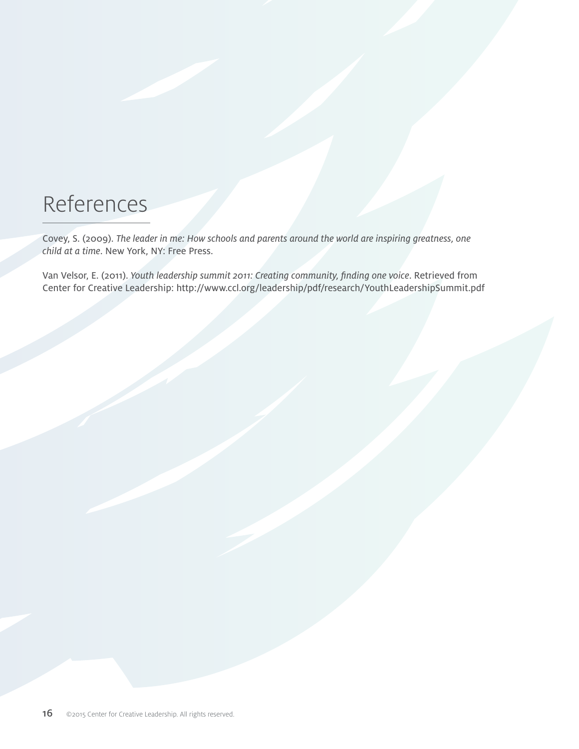### References

Covey, S. (2009). *The leader in me: How schools and parents around the world are inspiring greatness, one child at a time*. New York, NY: Free Press.

Van Velsor, E. (2011). *Youth leadership summit 2011: Creating community, finding one voice*. Retrieved from Center for Creative Leadership: <http://www.ccl.org/leadership/pdf/research/YouthLeadershipSummit.pdf>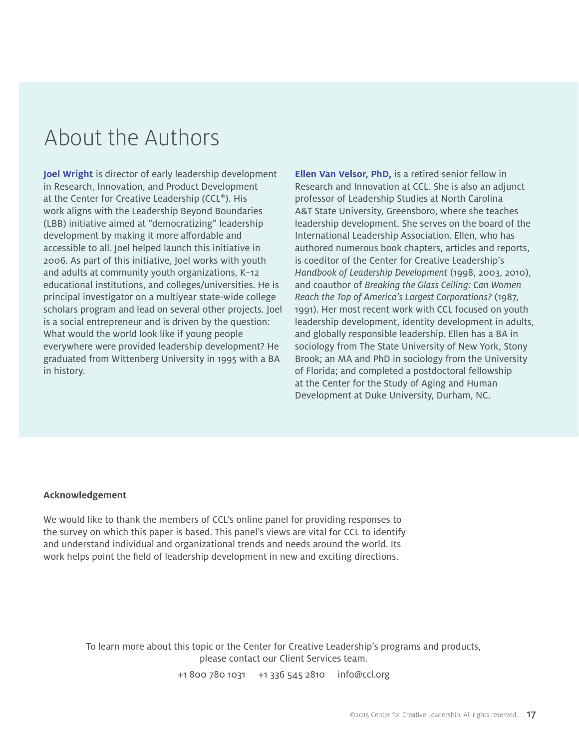### About the Authors

**Joel Wright** is director of early leadership development in Research, Innovation, and Product Development at the Center for Creative Leadership (CCL®). His work aligns with the Leadership Beyond Boundaries (LBB) initiative aimed at "democratizing" leadership development by making it more affordable and accessible to all. Joel helped launch this initiative in 2006. As part of this initiative, Joel works with youth and adults at community youth organizations, K–12 educational institutions, and colleges/universities. He is principal investigator on a multiyear state-wide college scholars program and lead on several other projects. Joel is a social entrepreneur and is driven by the question: What would the world look like if young people everywhere were provided leadership development? He graduated from Wittenberg University in 1995 with a BA in history.

**Ellen Van Velsor, PhD,** is a retired senior fellow in Research and Innovation at CCL. She is also an adjunct professor of Leadership Studies at North Carolina A&T State University, Greensboro, where she teaches leadership development. She serves on the board of the International Leadership Association. Ellen, who has authored numerous book chapters, articles and reports, is coeditor of the Center for Creative Leadership's *Handbook of Leadership Development* (1998, 2003, 2010), and coauthor of *Breaking the Glass Ceiling: Can Women Reach the Top of America's Largest Corporations?* (1987, 1991). Her most recent work with CCL focused on youth leadership development, identity development in adults, and globally responsible leadership. Ellen has a BA in sociology from The State University of New York, Stony Brook; an MA and PhD in sociology from the University of Florida; and completed a postdoctoral fellowship at the Center for the Study of Aging and Human Development at Duke University, Durham, NC.

#### **Acknowledgement**

We would like to thank the members of CCL's online panel for providing responses to the survey on which this paper is based. This panel's views are vital for CCL to identify and understand individual and organizational trends and needs around the world. Its work helps point the field of leadership development in new and exciting directions.

> To learn more about this topic or the Center for Creative Leadership's programs and products, please contact our Client Services team.

> > +1 800 780 1031 +1 336 545 2810  [info@ccl.org](mailto:info@ccl.org)